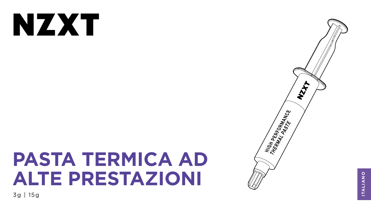# NXX

# **PASTA TERMICA AD ALTE PRESTAZIONI**

3g | 15g





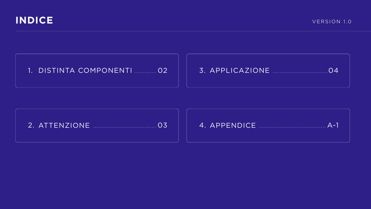

## 1. DISTINTA COMPONENTI ............ 02

## 

![](_page_1_Figure_4.jpeg)

![](_page_1_Picture_5.jpeg)

![](_page_1_Picture_6.jpeg)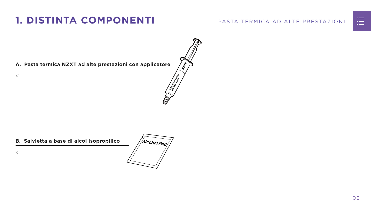#### PASTA TERMICA AD ALTE PRESTAZIONI

![](_page_2_Picture_7.jpeg)

![](_page_2_Figure_8.jpeg)

#### **A. Pasta termica NZXT ad alte prestazioni con applicatore**

x1

# <span id="page-2-0"></span>**1. DISTINTA COMPONENTI**

#### **B. Salvietta a base di alcol isopropilico**

![](_page_2_Picture_4.jpeg)

x1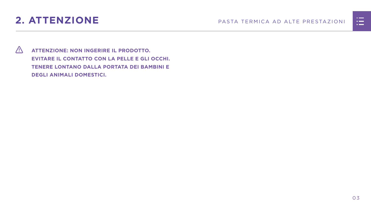# <span id="page-3-0"></span>**2. ATTENZIONE** PASTA TERMICA AD ALTE PRESTAZIONI

 **ATTENZIONE: NON INGERIRE IL PRODOTTO. EVITARE IL CONTATTO CON LA PELLE E GLI OCCHI. TENERE LONTANO DALLA PORTATA DEI BAMBINI E DEGLI ANIMALI DOMESTICI.**

![](_page_3_Figure_3.jpeg)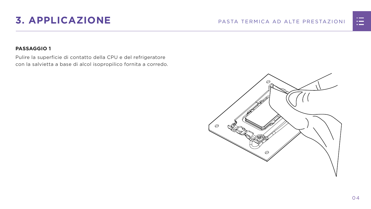# <span id="page-4-0"></span>**3. APPLICAZIONE** PASTA TERMICA AD ALTE PRESTAZIONI

### **PASSAGGIO 1**

Pulire la superficie di contatto della CPU e del refrigeratore con la salvietta a base di alcol isopropilico fornita a corredo.

![](_page_4_Figure_4.jpeg)

![](_page_4_Figure_5.jpeg)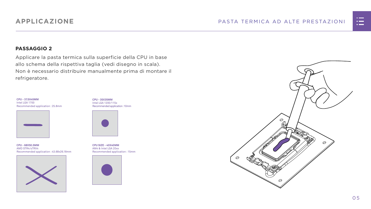![](_page_5_Picture_12.jpeg)

![](_page_5_Figure_13.jpeg)

#### **PASSAGGIO 2**

Applicare la pasta termica sulla superficie della CPU in base allo schema della rispettiva taglia (vedi disegno in scala). Non è necessario distribuire manualmente prima di montare il refrigeratore.

**CPU - 35X35MM** Intel LGA 1200/115x Recommended application : 10mm

![](_page_5_Picture_6.jpeg)

**CPU SIZE - 40X40MM** AM4 & Intel LGA 20xx Recommended application : 15mm

![](_page_5_Picture_10.jpeg)

**CPU - 68X50.5MM** AMD STR4/sTRX4 Recommended application : 43.68x26.18mm

![](_page_5_Picture_8.jpeg)

**CPU - 37.5X45MM** Intel LGA 1700 Recommended application : 25.8mm

![](_page_5_Picture_4.jpeg)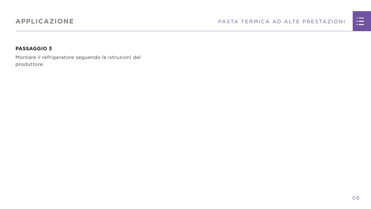#### PASTA TERMICA AD ALTE PRESTAZIONI

![](_page_6_Figure_4.jpeg)

#### **PASSAGGIO 3**

Montare il refrigeratore seguendo le istruzioni del produttore.

## **APPLICAZIONE**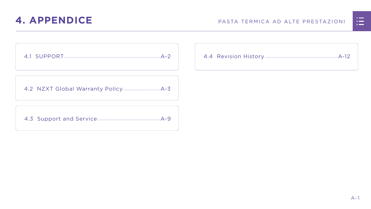![](_page_7_Picture_7.jpeg)

[4.2 NZXT Global Warranty Policy................................](#page-9-0) A-3

[4.3 Support and Service.......................................................A-9](#page-15-0)

<span id="page-7-0"></span>![](_page_7_Figure_5.jpeg)

|  | <u>n in de la</u>                                                                                                     |  |
|--|-----------------------------------------------------------------------------------------------------------------------|--|
|  | <u>ra masa</u>                                                                                                        |  |
|  | <u>a shekara ta 1989, a shekara ta 1989, a shekara ta 1989, a shekara ta 1989, a shekara ta 1989, a shekara ta 19</u> |  |
|  |                                                                                                                       |  |
|  |                                                                                                                       |  |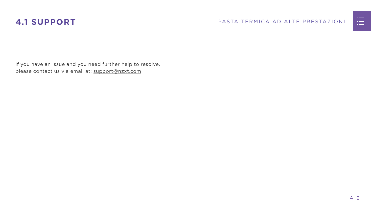![](_page_8_Picture_4.jpeg)

## <span id="page-8-0"></span>**4.1 SUPPORT** PASTA TERMICA AD ALTE PRESTAZIONI

![](_page_8_Figure_3.jpeg)

If you have an issue and you need further help to resolve, please contact us via email at: support@nzxt.com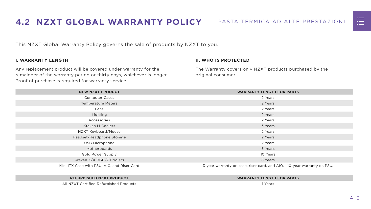![](_page_9_Picture_15.jpeg)

![](_page_9_Picture_16.jpeg)

<span id="page-9-0"></span>This NZXT Global Warranty Policy governs the sale of products by NZXT to you.

#### **I. WARRANTY LENGTH**

Any replacement product will be covered under warranty for the remainder of the warranty period or thirty days, whichever is longer. Proof of purchase is required for warranty service.

#### **II. WHO IS PROTECTED**

The Warranty covers only NZXT products purchased by the original consumer.

| <b>NEW NZXT PRODUCT</b>                     | <b>WARRANTY LENGTH FOR PARTS</b>                                       |  |  |
|---------------------------------------------|------------------------------------------------------------------------|--|--|
| <b>Computer Cases</b>                       | 2 Years                                                                |  |  |
| <b>Temperature Meters</b>                   | 2 Years                                                                |  |  |
| Fans                                        | 2 Years                                                                |  |  |
| Lighting                                    | 2 Years                                                                |  |  |
| Accessories                                 | 2 Years                                                                |  |  |
| <b>Kraken M Coolers</b>                     | 3 Years                                                                |  |  |
| NZXT Keyboard/Mouse                         | 2 Years                                                                |  |  |
| Headset/Headphone Storage                   | 2 Years                                                                |  |  |
| <b>USB Microphone</b>                       | 2 Years                                                                |  |  |
| Motherboards                                | 3 Years                                                                |  |  |
| <b>Gold Power Supply</b>                    | 10 Years                                                               |  |  |
| Kraken X/X RGB/Z Coolers                    | 6 Years                                                                |  |  |
| Mini ITX Case with PSU, AIO, and Riser Card | 3-year warranty on case, riser card, and AIO. 10-year warranty on PSU. |  |  |

#### **REFURBISHED NZXT PRODUCT WARRANTY LENGTH FOR PARTS**

![](_page_9_Figure_13.jpeg)

![](_page_9_Figure_14.jpeg)

All NZXT Certified Refurbished Products 1 Years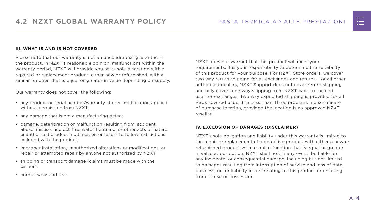#### **III. WHAT IS AND IS NOT COVERED**

Please note that our warranty is not an unconditional guarantee. If the product, in NZXT's reasonable opinion, malfunctions within the warranty period, NZXT will provide you at its sole discretion with a repaired or replacement product, either new or refurbished, with a similar function that is equal or greater in value depending on supply.

Our warranty does not cover the following:

- any product or serial number/warranty sticker modification applied without permission from NZXT;
- any damage that is not a manufacturing defect;
- damage, deterioration or malfunction resulting from: accident, abuse, misuse, neglect, fire, water, lightning, or other acts of nature, unauthorized product modification or failure to follow instructions included with the product;
- improper installation, unauthorized alterations or modifications, or repair or attempted repair by anyone not authorized by NZXT;
- shipping or transport damage (claims must be made with the carrier);
- normal wear and tear.

NZXT does not warrant that this product will meet your requirements. It is your responsibility to determine the suitability of this product for your purpose. For NZXT Store orders, we cover two way return shipping for all exchanges and returns. For all other authorized dealers, NZXT Support does not cover return shipping and only covers one way shipping from NZXT back to the end user for exchanges. Two way expedited shipping is provided for all PSUs covered under the Less Than Three program, indiscriminate of purchase location, provided the location is an approved NZXT reseller.

#### **IV. EXCLUSION OF DAMAGES (DISCLAIMER)**

NZXT's sole obligation and liability under this warranty is limited to the repair or replacement of a defective product with either a new or refurbished product with a similar function that is equal or greater in value at our option. NZXT shall not, in any event, be liable for any incidental or consequential damage, including but not limited to damages resulting from interruption of service and loss of data, business, or for liability in tort relating to this product or resulting from its use or possession.

![](_page_10_Figure_14.jpeg)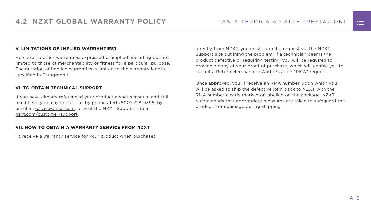#### **V. LIMITATIONS OF IMPLIED WARRANTIEST**

Here are no other warranties, expressed or implied, including but not limited to those of merchantability or fitness for a particular purpose. The duration of implied warranties is limited to the warranty length specified in Paragraph I.

#### **VI. TO OBTAIN TECHNICAL SUPPORT**

If you have already referenced your product owner's manual and still need help, you may contact us by phone at +1 (800) 228-9395, by email at [service@nzxt.com](mailto:service%40nzxt.com?subject=), or visit the NZXT Support site at [nzxt.com/customer-support.](http://nzxt.com/customer-support)

#### **VII. HOW TO OBTAIN A WARRANTY SERVICE FROM NZXT**

To receive a warranty service for your product when purchased

directly from NZXT, you must submit a request via the NZXT Support site outlining the problem. If a technician deems the product defective or requiring testing, you will be required to provide a copy of your proof of purchase, which will enable you to submit a Return Merchandise Authorization "RMA" request.

Once approved, you`ll receive an RMA number, upon which you will be asked to ship the defective item back to NZXT with the RMA number clearly marked or labelled on the package. NZXT recommends that appropriate measures are taken to safeguard the product from damage during shipping.

![](_page_11_Figure_10.jpeg)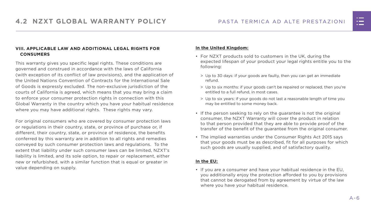#### **VIII. APPLICABLE LAW AND ADDITIONAL LEGAL RIGHTS FOR CONSUMERS**

This warranty gives you specific legal rights. These conditions are governed and construed in accordance with the laws of California (with exception of its conflict of law provisions), and the application of the United Nations Convention of Contracts for the International Sale of Goods is expressly excluded. The non-exclusive jurisdiction of the courts of California is agreed, which means that you may bring a claim to enforce your consumer protection rights in connection with this Global Warranty in the country which you have your habitual residence where you may have additional rights. These rights may vary.

For original consumers who are covered by consumer protection laws or regulations in their country, state, or province of purchase or, if different, their country, state, or province of residence, the benefits conferred by this warranty are in addition to all rights and remedies conveyed by such consumer protection laws and regulations. To the extent that liability under such consumer laws can be limited, NZXT's liability is limited, and its sole option, to repair or replacement, either new or refurbished, with a similar function that is equal or greater in value depending on supply.

#### **In the United Kingdom:**

- For NZXT products sold to customers in the UK, during the expected lifespan of your product your legal rights entitle you to the following:
	- > Up to 30 days: if your goods are faulty, then you can get an immediate refund.
	- > Up to six months: if your goods can't be repaired or replaced, then you're entitled to a full refund, in most cases.
	- > Up to six years: if your goods do not last a reasonable length of time you may be entitled to some money back.
- If the person seeking to rely on the guarantee is not the original consumer, the NZXT Warranty will cover the product in relation to that person provided that they are able to provide proof of the transfer of the benefit of the guarantee from the original consumer.
- The implied warranties under the Consumer Rights Act 2015 says that your goods must be as described, fit for all purposes for which such goods are usually supplied, and of satisfactory quality.

#### **In the EU:**

• If you are a consumer and have your habitual residence in the EU, you additionally enjoy the protection afforded to you by provisions that cannot be derogated from by agreement by virtue of the law where you have your habitual residence.

![](_page_12_Figure_14.jpeg)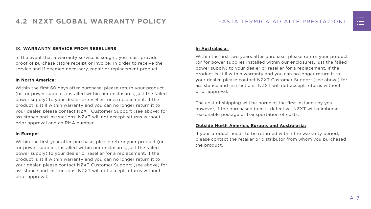#### **IX. WARRANTY SERVICE FROM RESELLERS**

In the event that a warranty service is sought, you must provide proof of purchase (store receipt or invoice) in order to receive the service and if deemed necessary, repair or replacement product.

#### **In North America:**

Within the first 60 days after purchase, please return your product (or for power supplies installed within our enclosures, just the failed power supply) to your dealer or reseller for a replacement. If the product is still within warranty and you can no longer return it to your dealer, please contact NZXT Customer Support (see above) for assistance and instructions. NZXT will not accept returns without prior approval and an RMA number.

#### **In Europe:**

Within the first year after purchase, please return your product (or for power supplies installed within our enclosures, just the failed power supply) to your dealer or reseller for a replacement. If the product is still within warranty and you can no longer return it to your dealer, please contact NZXT Customer Support (see above) for assistance and instructions. NZXT will not accept returns without prior approval.

#### **In Australasia:**

Within the first two years after purchase, please return your product (or for power supplies installed within our enclosures, just the failed power supply) to your dealer or reseller for a replacement. If the product is still within warranty and you can no longer return it to your dealer, please contact NZXT Customer Support (see above) for assistance and instructions. NZXT will not accept returns without prior approval.

The cost of shipping will be borne at the first instance by you; however, if the purchased item is defective, NZXT will reimburse reasonable postage or transportation of costs.

#### **Outside North America, Europe, and Australasia:**

If your product needs to be returned within the warranty period, please contact the retailer or distributor from whom you purchased the product.

![](_page_13_Figure_13.jpeg)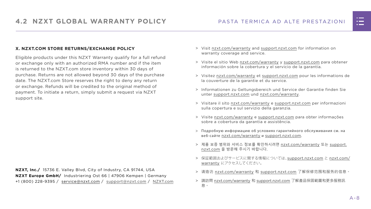#### PASTA TERMICA AD ALTE PRESTAZIONI

#### **X. NZXT.COM STORE RETURNS/EXCHANGE POLICY**

Eligible products under this NZXT Warranty qualify for a full refund or exchange only with an authorized RMA number and if the item is returned to the NZXT.com store inventory within 30 days of purchase. Returns are not allowed beyond 30 days of the purchase date. The NZXT.com Store reserves the right to deny any return or exchange. Refunds will be credited to the original method of payment. To initiate a return, simply submit a request via NZXT support site.

- > Visit [nzxt.com/warranty](http://nzxt.com/warranty) and [support.nzxt.com](http://support.nzxt.com) for information on warranty coverage and service.
- > Visite el sitio Web [nzxt.com/warranty](http://nzxt.com/warranty) y [support.nzxt.com](http://support.nzxt.com) para obtener información sobre la cobertura y el servicio de la garantía.
- > Visitez [nzxt.com/warranty](http://nzxt.com/warranty) et [support.nzxt.com](http://support.nzxt.com) pour les informations de la couverture de la garantie et du service.
- > Informationen zu Geltungsbereich und Service der Garantie finden Sie unter [support.nzxt.com](http://support.nzxt.com) und [nzxt.com/warranty.](http://nzxt.com/warranty)
- > Visitare il sito [nzxt.com/warranty](http://nzxt.com/warranty) e [support.nzxt.com](http://support.nzxt.com) per informazioni sulla copertura e sul servizio della garanzia.
- > Visite [nzxt.com/warranty](http://nzxt.com/warranty) e [support.nzxt.com](http://support.nzxt.com) para obter informações sobre a cobertura da garantia e assistência.
- > Подробную информацию об условиях гарантийного обслуживания см. на веб-сайте [nzxt.com/warranty](http://nzxt.com/warranty) и [support.nzxt.com](http://support.nzxt.com).
- > 제품 보증 범위와 서비스 정보를 확인하시려면 [nzxt.com/warranty](http://nzxt.com/warranty) 또는 [support.](http://support.nzxt.com) [nzxt.com](http://support.nzxt.com) 을 방문해 주시기 바랍니다.
- > 保証範囲およびサービスに関する情報については、[support.nzxt.com](http://support.nzxt.com) と [nzxt.com/](http://nzxt.com/warranty) [warranty](http://nzxt.com/warranty) にアクセスしてください。
- > 请造访 nzxt.com/warranty 和 [support.nzxt.com](http://support.nzxt.com) 了解保修范围和服务的信息。
- > 請訪問 [nzxt.com/warranty](http://nzxt.com/warranty) 和 [support.nzxt.com](http://support.nzxt.com) 了解產品保固範圍和更多服務訊 息。

![](_page_14_Figure_16.jpeg)

**NZXT, Inc./** 15736 E. Valley Blvd, City of Industry, CA 91744, USA **NZXT Europe GmbH/** Industriering Ost 66 | 47906 Kempen | Germany +1 (800) 228-9395 / service@nzxt.com / [support@nzxt.com](mailto:support%40nzxt.com?subject=) / NZX[T.com](http://nzxt.com)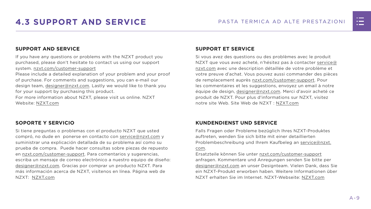![](_page_15_Picture_14.jpeg)

## <span id="page-15-0"></span>**4.3 SUPPORT AND SERVICE** PASTA TERMICA AD ALTE PRESTAZIONI

#### **SUPPORT AND SERVICE**

If you have any questions or problems with the NZXT product you purchased, please don't hesitate to contact us using our support system. [nzxt.com/customer-support](http://nzxt.com/customer-support)

Please include a detailed explanation of your problem and your proof of purchase. For comments and suggestions, you can e-mail our design team, [designer@nzxt.com.](mailto:designer%40nzxt.com?subject=) Lastly we would like to thank you for your support by purchasing this product.

For more information about NZXT, please visit us online. NZXT Website: NZX[T.com](http://nzxt.com)

#### **SOPORTE Y SERVICIO**

Si tiene preguntas o problemas con el producto NZXT que usted compró, no dude en ponerse en contacto con [service@nzxt.com](mailto:service%40nzxt.com?subject=) y suministrar una explicación detallada de su problema así como su prueba de compra. Puede hacer consultas sobre piezas de repuesto en [nzxt.com/customer-support.](http://nzxt.com/customer-support) Para comentarios y sugerencias, escriba un mensaje de correo electrónico a nuestro equipo de diseño: [designer@nzxt.com.](mailto:designer%40nzxt.com?subject=) Gracias por comprar un producto NZXT. Para más información acerca de NZXT, visítenos en línea. Página web de NZXT: NZX[T.com](http://nzxt.com)

#### **SUPPORT ET SERVICE**

Si vous avez des questions ou des problèmes avec le produit NZXT que vous avez acheté, n'hésitez pas à contacter service@ nzxt.com avec une description détaillée de votre problème et votre preuve d'achat. Vous pouvez aussi commander des pièces de remplacement auprès [nzxt.com/customer-support.](http://nzxt.com/customer-support) Pour les commentaires et les suggestions, envoyez un email à notre équipe de design, [designer@nzxt.com.](mailto:designer%40nzxt.com?subject=) Merci d'avoir acheté ce produit de NZXT. Pour plus d'informations sur NZXT, visitez notre site Web. Site Web de NZXT : NZX[T.com](http://nzxt.com)

### **KUNDENDIENST UND SERVICE**

Falls Fragen oder Probleme bezüglich Ihres NZXT-Produktes auftreten, wenden Sie sich bitte mit einer detaillierten Problembeschreibung und Ihrem Kaufbeleg an [service@nzxt.](mailto:service%40nzxt.com?subject=) [com](mailto:service%40nzxt.com?subject=).

Ersatzteile können Sie unter [nzxt.com/customer-support](http://nzxt.com/customer-support) anfragen. Kommentare und Anregungen senden Sie bitte per [designer@nzxt.com](mailto:designer%40nzxt.com?subject=) an unser Designteam. Vielen Dank, dass Sie ein NZXT-Produkt erworben haben. Weitere Informationen über NZXT erhalten Sie im Internet. NZXT-Webseite: NZX[T.com](http://nzxt.com)

![](_page_15_Figure_13.jpeg)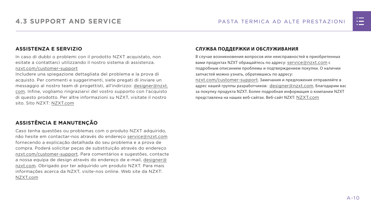#### **ASSISTENZA E SERVIZIO**

In caso di dubbi o problemi con il prodotto NZXT acquistato, non esitate a contattarci utilizzando il nostro sistema di assistenza. [nzxt.com/customer-support](http://nzxt.com/customer-support)

Includere una spiegazione dettagliata del problema e la prova di acquisto. Per commenti e suggerimenti, siete pregati di inviare un messaggio al nostro team di progettisti, all'indirizzo: [designer@nzxt.](mailto:designer%40nzxt.com?subject=) [com](mailto:designer%40nzxt.com?subject=). Infine, vogliamo ringraziarvi del vostro supporto con l'acquisto di questo prodotto. Per altre informazioni su NZXT, visitate il nostro sito. Sito NZXT: NZX[T.com](http://nzxt.com)

В случае возникновения вопросов или неисправностей в приобретенных вами продуктах NZXT обращайтесь по адресу: [service@nzxt.com](mailto:service%40nzxt.com?subject=) с подробным описанием проблемы и подтверждением покупки. О наличии запчастей можно узнать, обратившись по адресу: [nzxt.com/customer-support](http://nzxt.com/customer-support). Замечания и предложения отправляйте в адрес нашей группы разработчиков: [designer@nzxt.com](mailto:designer%40nzxt.com?subject=). Благодарим вас

## **ASSISTÊNCIA E MANUTENÇÃO**

Caso tenha questões ou problemas com o produto NZXT adquirido, não hesite em contactar-nos através do endereço [service@nzxt.com](mailto:service%40nzxt.com?subject=) fornecendo a explicação detalhada do seu problema e a prova de compra. Poderá solicitar peças de substituição através do endereço [nzxt.com/customer-support.](http://nzxt.com/customer-support) Para comentários e sugestões, contacte a nossa equipa de design através do endereço de e-mail, [designer@](mailto:designer%40nzxt.com?subject=) [nzxt.com.](mailto:designer%40nzxt.com?subject=) Obrigado por ter adquirido um produto NZXT. Para mais informações acerca da NZXT, visite-nos online. Web site da NZXT: NZX[T.com](http://nzxt.com)

#### **СЛУЖБА ПОДДЕРЖКИ И ОБСЛУЖИВАНИЯ**

за покупку продукта NZXT. Более подробная информация о компании NZXT представлена на наших веб-сайтах. Веб-сайт NZXT: NZX[T.com](http://nzxt.com)

![](_page_16_Figure_11.jpeg)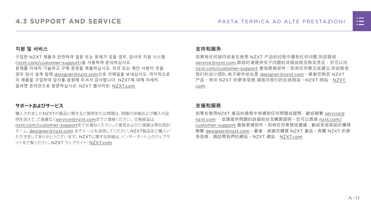![](_page_17_Picture_14.jpeg)

#### **지원 및 서비스**

구입한 NZXT 제품과 관련하여 질문 또는 문제가 있을 경우, 당사의 지원 시스템 ([nzxt.com/customer-support\)](http://nzxt.com/customer-support)을 사용하여 문의하십시오. 문제를 자세히 기술하고 구매 증빙을 제출하십시오. 의견 또는 제안 사항이 잇을 경우 당사 설계 팀에 [designer@nzxt.com](mailto:designer%40nzxt.com?subject=)으로 이메일을 보내십시오. 마지막으로 이 제품을 구입하여 당사를 응원해 주셔서 감사합니다. NZXT에 대해 자세히 알려면 온라인으로 방문하십시오. NZXT 웹사이트: NZX[T.com](http://nzxt.com)

#### **サポートおよびサービス**

購入されましたNZXTの製品に関するご質問または問題は、問題の詳細および購入の証 明を添えて、ご遠慮なく[service@nzxt.com](mailto:service%40nzxt.com?subject=)までご連絡ください。交換部品は [nzxt.com/customer-support](http://nzxt.com/customer-support)までお尋ねください。ご意見およびご提案は弊社設計 チーム、[designer@nzxt.com](mailto:designer%40nzxt.com?subject=) までメールを送信してください。NZXT製品をご購入い ただきましてありがとうございます。 NZXTに関する詳細は、インターネット上のウェブサ イトをご覧ください。NZXT ウェブサイト: NZX[T.com](http://nzxt.com)

#### **支持和服务**

如果有任何疑问或者在使用 NZXT 产品的过程中遇到任何问题,欢迎联络 [service@nzxt.com,](mailto:service%40nzxt.com?subject=)联络时请提供关于问题的详细说明及购买凭证。您可以向 [nzxt.com/customer-support](http://nzxt.com/customer-support) 查询更换部件。如有任何意见或建议,欢迎致信 我们的设计团队,电子邮件地址是 designer@nzxt.com。感谢您购买 NZXT 产品。有关 NZXT 的更多信息,请造访我们的在线网站。NZXT 网站:NZX[T.](http://nzxt.com) [com](http://nzxt.com)

#### **支援和服務**

如果在使用NZXT 產品的過程中有遇到任何問題或疑問,歡迎聯繫 [service@](mailto:service%40nzxt.com?subject=) [nzxt.com](mailto:service%40nzxt.com?subject=), 並請提供問題的詳細敘述及購買證明。您可以透過 [nzxt.com/](http://nzxt.com/customer-support) [customer-support](http://nzxt.com/customer-support) 查詢更換部件。如有任何意見或建議,歡迎來信與設計團隊 聯繫 designer@nzxt.com。最後,感謝您購買 NZXT 產品。有關 NZXT 的更 多信息,請訪問我們的網站。NZXT 網站: NZXT.com

![](_page_17_Figure_10.jpeg)

![](_page_17_Picture_11.jpeg)

![](_page_17_Picture_12.jpeg)

![](_page_17_Picture_13.jpeg)